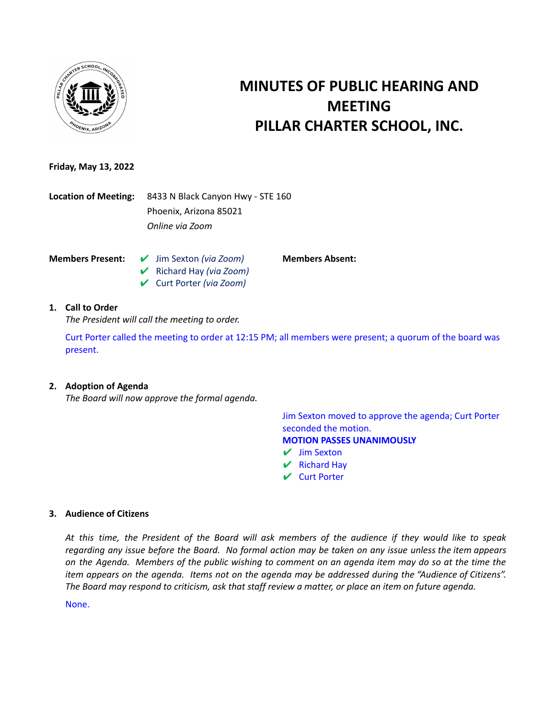

# **MINUTES OF PUBLIC HEARING AND MEETING PILLAR CHARTER SCHOOL, INC.**

# **Friday, May 13, 2022**

**Location of Meeting:** 8433 N Black Canyon Hwy - STE 160 Phoenix, Arizona 85021 *Online via Zoom*

- **Members Present:** ✔ Jim Sexton *(via Zoom)* ✔ Richard Hay *(via Zoom)*
	- ✔ Curt Porter *(via Zoom)*

# **1. Call to Order**

*The President will call the meeting to order.*

Curt Porter called the meeting to order at 12:15 PM; all members were present; a quorum of the board was present.

# **2. Adoption of Agenda**

*The Board will now approve the formal agenda.*

Jim Sexton moved to approve the agenda; Curt Porter seconded the motion. **MOTION PASSES UNANIMOUSLY**

- $\vee$  Jim Sexton
- $\vee$  Richard Hay

**Members Absent:**

✔ Curt Porter

# **3. Audience of Citizens**

At this time, the President of the Board will ask members of the audience if they would like to speak regarding any issue before the Board. No formal action may be taken on any issue unless the item appears on the Agenda. Members of the public wishing to comment on an agenda item may do so at the time the item appears on the agenda. Items not on the agenda may be addressed during the "Audience of Citizens". The Board may respond to criticism, ask that staff review a matter, or place an item on future agenda.

None.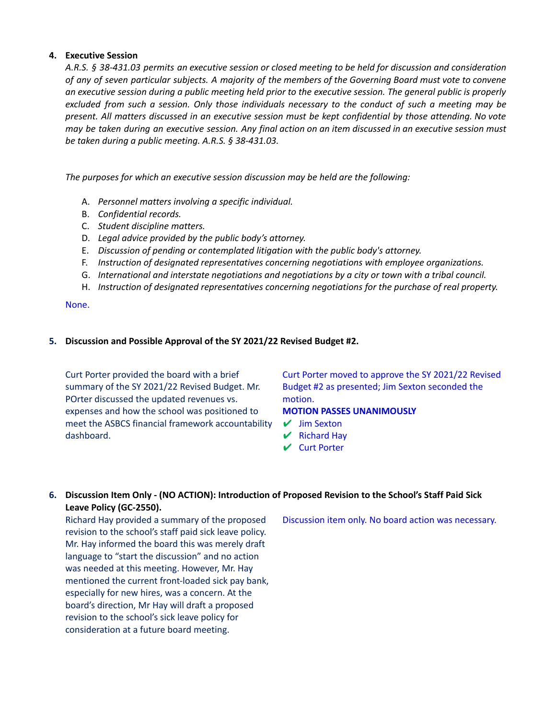#### **4. Executive Session**

A.R.S. § 38-431.03 permits an executive session or closed meeting to be held for discussion and consideration of any of seven particular subjects. A majority of the members of the Governing Board must vote to convene an executive session during a public meeting held prior to the executive session. The general public is properly excluded from such a session. Only those individuals necessary to the conduct of such a meeting may be present. All matters discussed in an executive session must be kept confidential by those attending. No vote may be taken during an executive session. Any final action on an item discussed in an executive session must *be taken during a public meeting. A.R.S. § 38-431.03.*

*The purposes for which an executive session discussion may be held are the following:*

- A. *Personnel matters involving a specific individual.*
- B. *Confidential records.*
- C. *Student discipline matters.*
- D. *Legal advice provided by the public body's attorney.*
- E. *Discussion of pending or contemplated litigation with the public body's attorney.*
- F. *Instruction of designated representatives concerning negotiations with employee organizations.*
- G. *International and interstate negotiations and negotiations by a city or town with a tribal council.*
- H. *Instruction of designated representatives concerning negotiations for the purchase of real property.*

None.

# **5. Discussion and Possible Approval of the SY 2021/22 Revised Budget #2.**

Curt Porter provided the board with a brief summary of the SY 2021/22 Revised Budget. Mr. POrter discussed the updated revenues vs. expenses and how the school was positioned to meet the ASBCS financial framework accountability dashboard.

Curt Porter moved to approve the SY 2021/22 Revised Budget #2 as presented; Jim Sexton seconded the motion.

# **MOTION PASSES UNANIMOUSLY**

- ✔ Jim Sexton
- $\vee$  Richard Hay
- ✔ Curt Porter

# **6. Discussion Item Only - (NO ACTION): Introduction of Proposed Revision to the School's Staff Paid Sick Leave Policy (GC-2550).**

Richard Hay provided a summary of the proposed revision to the school's staff paid sick leave policy. Mr. Hay informed the board this was merely draft language to "start the discussion" and no action was needed at this meeting. However, Mr. Hay mentioned the current front-loaded sick pay bank, especially for new hires, was a concern. At the board's direction, Mr Hay will draft a proposed revision to the school's sick leave policy for consideration at a future board meeting.

Discussion item only. No board action was necessary.